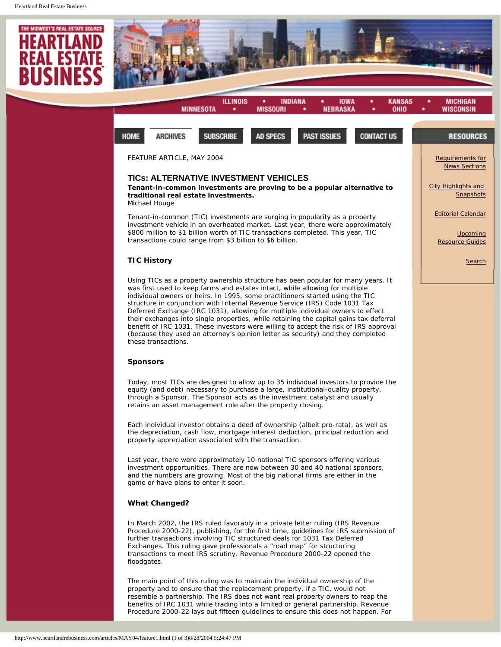